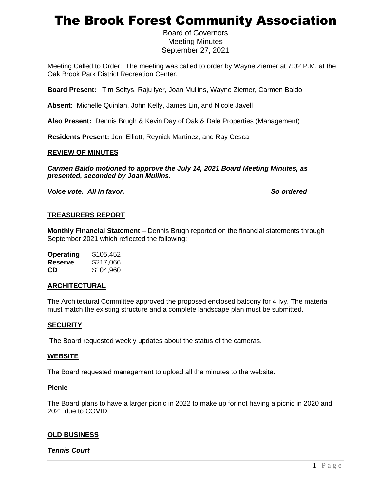## The Brook Forest Community Association

Board of Governors Meeting Minutes September 27, 2021

Meeting Called to Order:The meeting was called to order by Wayne Ziemer at 7:02 P.M. at the Oak Brook Park District Recreation Center.

**Board Present:** Tim Soltys, Raju lyer, Joan Mullins, Wayne Ziemer, Carmen Baldo

**Absent:** Michelle Quinlan, John Kelly, James Lin, and Nicole Javell

**Also Present:** Dennis Brugh & Kevin Day of Oak & Dale Properties (Management)

**Residents Present:** Joni Elliott, Reynick Martinez, and Ray Cesca

#### **REVIEW OF MINUTES**

*Carmen Baldo motioned to approve the July 14, 2021 Board Meeting Minutes, as presented, seconded by Joan Mullins.*

*Voice vote. All in favor. So ordered*

#### **TREASURERS REPORT**

**Monthly Financial Statement** – Dennis Brugh reported on the financial statements through September 2021 which reflected the following:

| <b>Operating</b> | \$105,452 |
|------------------|-----------|
| <b>Reserve</b>   | \$217,066 |
| CD               | \$104,960 |

#### **ARCHITECTURAL**

The Architectural Committee approved the proposed enclosed balcony for 4 Ivy. The material must match the existing structure and a complete landscape plan must be submitted.

#### **SECURITY**

The Board requested weekly updates about the status of the cameras.

#### **WEBSITE**

The Board requested management to upload all the minutes to the website.

#### **Picnic**

The Board plans to have a larger picnic in 2022 to make up for not having a picnic in 2020 and 2021 due to COVID.

## **OLD BUSINESS**

*Tennis Court*